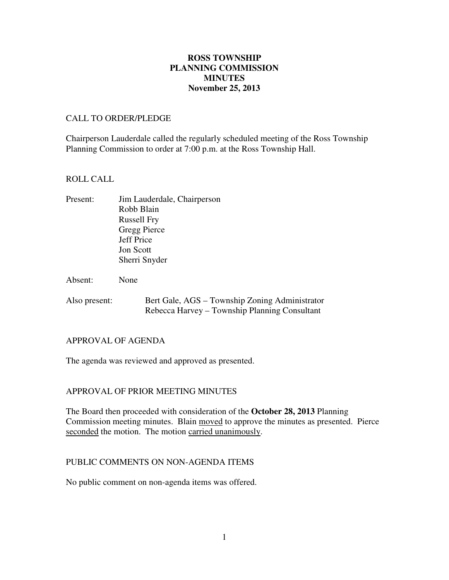## **November 25, 2013 ROSS TOWNSHIP PLANNING COMMISSION MINUTES**

### CALL TO ORDER/PLEDGE

 Chairperson Lauderdale called the regularly scheduled meeting of the Ross Township Planning Commission to order at 7:00 p.m. at the Ross Township Hall.

### ROLL CALL

| Present: | Jim Lauderdale, Chairperson |
|----------|-----------------------------|
|          | Robb Blain                  |
|          | <b>Russell Fry</b>          |
|          | Gregg Pierce                |
|          | <b>Jeff Price</b>           |
|          | <b>Jon Scott</b>            |
|          | Sherri Snyder               |
|          |                             |
| Absent:  | None                        |

Also present: Bert Gale, AGS – Township Zoning Administrator Rebecca Harvey – Township Planning Consultant

### APPROVAL OF AGENDA

The agenda was reviewed and approved as presented.

## APPROVAL OF PRIOR MEETING MINUTES

 The Board then proceeded with consideration of the **October 28, 2013** Planning Commission meeting minutes. Blain moved to approve the minutes as presented. Pierce seconded the motion. The motion carried unanimously.

### PUBLIC COMMENTS ON NON-AGENDA ITEMS

No public comment on non-agenda items was offered.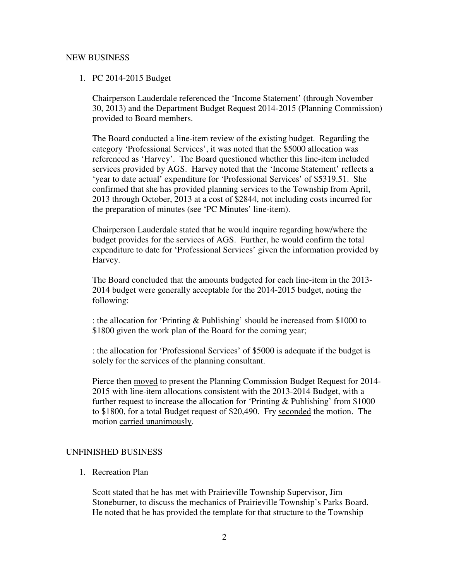### NEW BUSINESS

### 1. PC 2014-2015 Budget

 Chairperson Lauderdale referenced the 'Income Statement' (through November 30, 2013) and the Department Budget Request 2014-2015 (Planning Commission) provided to Board members.

 The Board conducted a line-item review of the existing budget. Regarding the category 'Professional Services', it was noted that the \$5000 allocation was referenced as 'Harvey'. The Board questioned whether this line-item included services provided by AGS. Harvey noted that the 'Income Statement' reflects a 'year to date actual' expenditure for 'Professional Services' of \$5319.51. She confirmed that she has provided planning services to the Township from April, 2013 through October, 2013 at a cost of \$2844, not including costs incurred for the preparation of minutes (see 'PC Minutes' line-item).

 Chairperson Lauderdale stated that he would inquire regarding how/where the budget provides for the services of AGS. Further, he would confirm the total expenditure to date for 'Professional Services' given the information provided by Harvey.

 The Board concluded that the amounts budgeted for each line-item in the 2013 2014 budget were generally acceptable for the 2014-2015 budget, noting the following:

 : the allocation for 'Printing & Publishing' should be increased from \$1000 to \$1800 given the work plan of the Board for the coming year;

 : the allocation for 'Professional Services' of \$5000 is adequate if the budget is solely for the services of the planning consultant.

Pierce then moved to present the Planning Commission Budget Request for 2014- 2015 with line-item allocations consistent with the 2013-2014 Budget, with a further request to increase the allocation for 'Printing & Publishing' from \$1000 to \$1800, for a total Budget request of \$20,490. Fry seconded the motion. The motion carried unanimously.

#### UNFINISHED BUSINESS

1. Recreation Plan

 Scott stated that he has met with Prairieville Township Supervisor, Jim Stoneburner, to discuss the mechanics of Prairieville Township's Parks Board. He noted that he has provided the template for that structure to the Township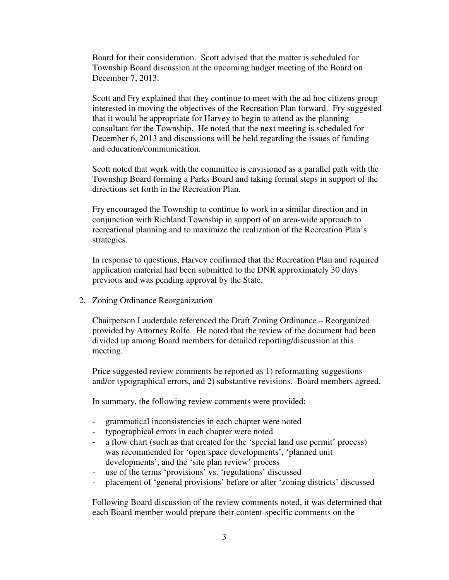Board for their consideration. Scott advised that the matter is scheduled for Township Board discussion at the upcoming budget meeting of the Board on December 7, 2013.

 Scott and Fry explained that they continue to meet with the ad hoc citizens group interested in moving the objectives of the Recreation Plan forward. Fry suggested that it would be appropriate for Harvey to begin to attend as the planning consultant for the Township. He noted that the next meeting is scheduled for December 6, 2013 and discussions will be held regarding the issues of funding and education/communication.

 Scott noted that work with the committee is envisioned as a parallel path with the Township Board forming a Parks Board and taking formal steps in support of the directions set forth in the Recreation Plan.

 Fry encouraged the Township to continue to work in a similar direction and in conjunction with Richland Township in support of an area-wide approach to recreational planning and to maximize the realization of the Recreation Plan's strategies.

 In response to questions, Harvey confirmed that the Recreation Plan and required application material had been submitted to the DNR approximately 30 days previous and was pending approval by the State.

2. Zoning Ordinance Reorganization

 Chairperson Lauderdale referenced the Draft Zoning Ordinance – Reorganized provided by Attorney Rolfe. He noted that the review of the document had been divided up among Board members for detailed reporting/discussion at this meeting.

 Price suggested review comments be reported as 1) reformatting suggestions and/or typographical errors, and 2) substantive revisions. Board members agreed.

In summary, the following review comments were provided:

- grammatical inconsistencies in each chapter were noted
- typographical errors in each chapter were noted
- - a flow chart (such as that created for the 'special land use permit' process) was recommended for 'open space developments', 'planned unit developments', and the 'site plan review' process
- use of the terms 'provisions' vs. 'regulations' discussed
- placement of 'general provisions' before or after 'zoning districts' discussed

 Following Board discussion of the review comments noted, it was determined that each Board member would prepare their content-specific comments on the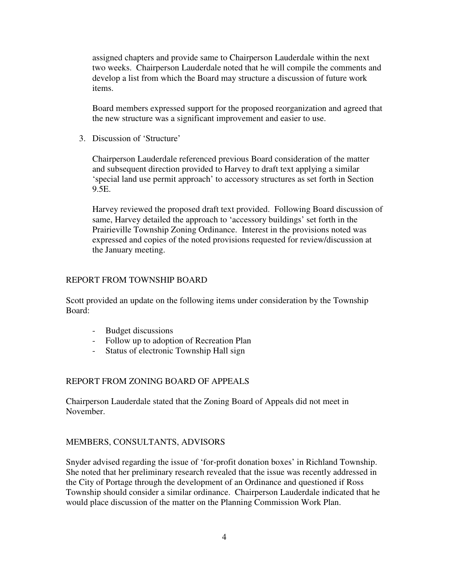assigned chapters and provide same to Chairperson Lauderdale within the next two weeks. Chairperson Lauderdale noted that he will compile the comments and develop a list from which the Board may structure a discussion of future work items.

 Board members expressed support for the proposed reorganization and agreed that the new structure was a significant improvement and easier to use.

3. Discussion of 'Structure'

 Chairperson Lauderdale referenced previous Board consideration of the matter and subsequent direction provided to Harvey to draft text applying a similar 'special land use permit approach' to accessory structures as set forth in Section 9.5E.

 Harvey reviewed the proposed draft text provided. Following Board discussion of same, Harvey detailed the approach to 'accessory buildings' set forth in the Prairieville Township Zoning Ordinance. Interest in the provisions noted was expressed and copies of the noted provisions requested for review/discussion at the January meeting.

# REPORT FROM TOWNSHIP BOARD

 Scott provided an update on the following items under consideration by the Township Board:

- Budget discussions
- Follow up to adoption of Recreation Plan
- Status of electronic Township Hall sign

## REPORT FROM ZONING BOARD OF APPEALS

 Chairperson Lauderdale stated that the Zoning Board of Appeals did not meet in November.

## MEMBERS, CONSULTANTS, ADVISORS

 Snyder advised regarding the issue of 'for-profit donation boxes' in Richland Township. She noted that her preliminary research revealed that the issue was recently addressed in the City of Portage through the development of an Ordinance and questioned if Ross Township should consider a similar ordinance. Chairperson Lauderdale indicated that he would place discussion of the matter on the Planning Commission Work Plan.